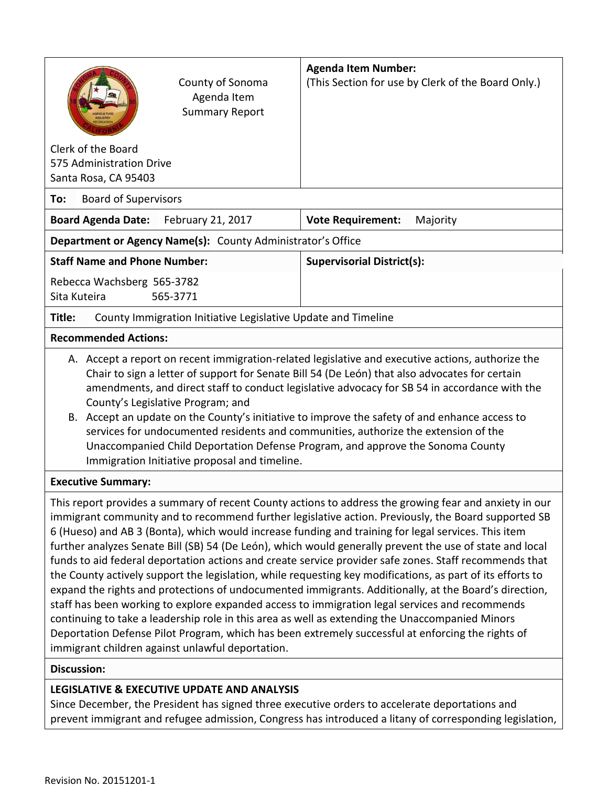| County of Sonoma<br>Agenda Item<br><b>Summary Report</b>                                                                                                                                                                                                                                                                                                                                                                                                                                                                                                                                                                                                                                                                                                                                                                                                                                                                                                                                                                                                                                                                        | <b>Agenda Item Number:</b><br>(This Section for use by Clerk of the Board Only.) |  |  |  |
|---------------------------------------------------------------------------------------------------------------------------------------------------------------------------------------------------------------------------------------------------------------------------------------------------------------------------------------------------------------------------------------------------------------------------------------------------------------------------------------------------------------------------------------------------------------------------------------------------------------------------------------------------------------------------------------------------------------------------------------------------------------------------------------------------------------------------------------------------------------------------------------------------------------------------------------------------------------------------------------------------------------------------------------------------------------------------------------------------------------------------------|----------------------------------------------------------------------------------|--|--|--|
| Clerk of the Board<br>575 Administration Drive<br>Santa Rosa, CA 95403                                                                                                                                                                                                                                                                                                                                                                                                                                                                                                                                                                                                                                                                                                                                                                                                                                                                                                                                                                                                                                                          |                                                                                  |  |  |  |
| <b>Board of Supervisors</b><br>To:                                                                                                                                                                                                                                                                                                                                                                                                                                                                                                                                                                                                                                                                                                                                                                                                                                                                                                                                                                                                                                                                                              |                                                                                  |  |  |  |
| <b>Board Agenda Date:</b><br>February 21, 2017                                                                                                                                                                                                                                                                                                                                                                                                                                                                                                                                                                                                                                                                                                                                                                                                                                                                                                                                                                                                                                                                                  | <b>Vote Requirement:</b><br>Majority                                             |  |  |  |
| Department or Agency Name(s): County Administrator's Office                                                                                                                                                                                                                                                                                                                                                                                                                                                                                                                                                                                                                                                                                                                                                                                                                                                                                                                                                                                                                                                                     |                                                                                  |  |  |  |
| <b>Staff Name and Phone Number:</b>                                                                                                                                                                                                                                                                                                                                                                                                                                                                                                                                                                                                                                                                                                                                                                                                                                                                                                                                                                                                                                                                                             | <b>Supervisorial District(s):</b>                                                |  |  |  |
| Rebecca Wachsberg 565-3782<br>Sita Kuteira<br>565-3771                                                                                                                                                                                                                                                                                                                                                                                                                                                                                                                                                                                                                                                                                                                                                                                                                                                                                                                                                                                                                                                                          |                                                                                  |  |  |  |
| County Immigration Initiative Legislative Update and Timeline<br>Title:                                                                                                                                                                                                                                                                                                                                                                                                                                                                                                                                                                                                                                                                                                                                                                                                                                                                                                                                                                                                                                                         |                                                                                  |  |  |  |
| <b>Recommended Actions:</b>                                                                                                                                                                                                                                                                                                                                                                                                                                                                                                                                                                                                                                                                                                                                                                                                                                                                                                                                                                                                                                                                                                     |                                                                                  |  |  |  |
| A. Accept a report on recent immigration-related legislative and executive actions, authorize the<br>Chair to sign a letter of support for Senate Bill 54 (De León) that also advocates for certain<br>amendments, and direct staff to conduct legislative advocacy for SB 54 in accordance with the<br>County's Legislative Program; and<br>B. Accept an update on the County's initiative to improve the safety of and enhance access to<br>services for undocumented residents and communities, authorize the extension of the<br>Unaccompanied Child Deportation Defense Program, and approve the Sonoma County<br>Immigration Initiative proposal and timeline.                                                                                                                                                                                                                                                                                                                                                                                                                                                            |                                                                                  |  |  |  |
| <b>Executive Summary:</b>                                                                                                                                                                                                                                                                                                                                                                                                                                                                                                                                                                                                                                                                                                                                                                                                                                                                                                                                                                                                                                                                                                       |                                                                                  |  |  |  |
| This report provides a summary of recent County actions to address the growing fear and anxiety in our<br>immigrant community and to recommend further legislative action. Previously, the Board supported SB<br>6 (Hueso) and AB 3 (Bonta), which would increase funding and training for legal services. This item<br>further analyzes Senate Bill (SB) 54 (De León), which would generally prevent the use of state and local<br>funds to aid federal deportation actions and create service provider safe zones. Staff recommends that<br>the County actively support the legislation, while requesting key modifications, as part of its efforts to<br>expand the rights and protections of undocumented immigrants. Additionally, at the Board's direction,<br>staff has been working to explore expanded access to immigration legal services and recommends<br>continuing to take a leadership role in this area as well as extending the Unaccompanied Minors<br>Deportation Defense Pilot Program, which has been extremely successful at enforcing the rights of<br>immigrant children against unlawful deportation. |                                                                                  |  |  |  |
| <b>Discussion:</b>                                                                                                                                                                                                                                                                                                                                                                                                                                                                                                                                                                                                                                                                                                                                                                                                                                                                                                                                                                                                                                                                                                              |                                                                                  |  |  |  |
| LEGISLATIVE & EXECUTIVE UPDATE AND ANALYSIS<br>December the President has signed three evecutive arders to accelerate departations and                                                                                                                                                                                                                                                                                                                                                                                                                                                                                                                                                                                                                                                                                                                                                                                                                                                                                                                                                                                          |                                                                                  |  |  |  |

Since December, the President has signed three executive orders to accelerate deportations and prevent immigrant and refugee admission, Congress has introduced a litany of corresponding legislation,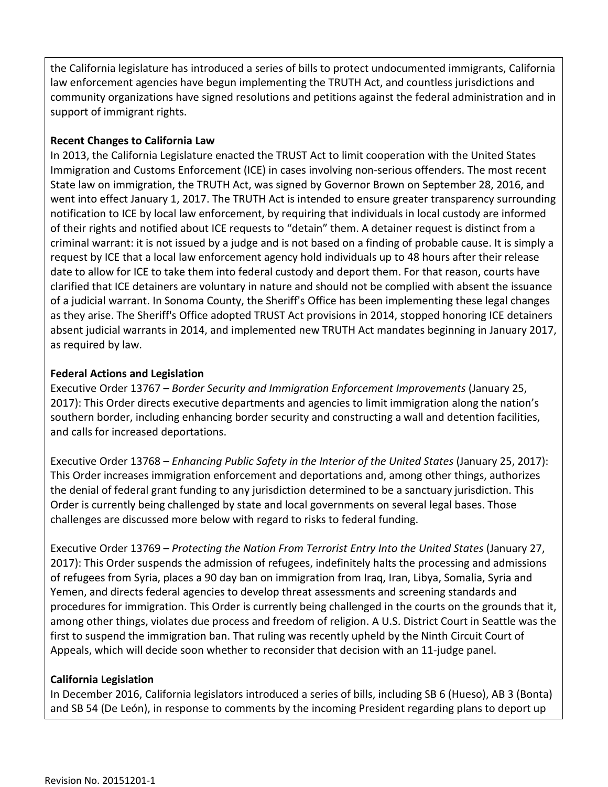the California legislature has introduced a series of bills to protect undocumented immigrants, California law enforcement agencies have begun implementing the TRUTH Act, and countless jurisdictions and community organizations have signed resolutions and petitions against the federal administration and in support of immigrant rights.

#### **Recent Changes to California Law**

In 2013, the California Legislature enacted the TRUST Act to limit cooperation with the United States Immigration and Customs Enforcement (ICE) in cases involving non-serious offenders. The most recent State law on immigration, the TRUTH Act, was signed by Governor Brown on September 28, 2016, and went into effect January 1, 2017. The TRUTH Act is intended to ensure greater transparency surrounding notification to ICE by local law enforcement, by requiring that individuals in local custody are informed of their rights and notified about ICE requests to "detain" them. A detainer request is distinct from a criminal warrant: it is not issued by a judge and is not based on a finding of probable cause. It is simply a request by ICE that a local law enforcement agency hold individuals up to 48 hours after their release date to allow for ICE to take them into federal custody and deport them. For that reason, courts have clarified that ICE detainers are voluntary in nature and should not be complied with absent the issuance of a judicial warrant. In Sonoma County, the Sheriff's Office has been implementing these legal changes as they arise. The Sheriff's Office adopted TRUST Act provisions in 2014, stopped honoring ICE detainers absent judicial warrants in 2014, and implemented new TRUTH Act mandates beginning in January 2017, as required by law.

### **Federal Actions and Legislation**

Executive Order 13767 – *Border Security and Immigration Enforcement Improvements* (January 25, 2017): This Order directs executive departments and agencies to limit immigration along the nation's southern border, including enhancing border security and constructing a wall and detention facilities, and calls for increased deportations.

Executive Order 13768 – *Enhancing Public Safety in the Interior of the United States* (January 25, 2017): This Order increases immigration enforcement and deportations and, among other things, authorizes the denial of federal grant funding to any jurisdiction determined to be a sanctuary jurisdiction. This Order is currently being challenged by state and local governments on several legal bases. Those challenges are discussed more below with regard to risks to federal funding.

Executive Order 13769 – *Protecting the Nation From Terrorist Entry Into the United States* (January 27, 2017): This Order suspends the admission of refugees, indefinitely halts the processing and admissions of refugees from Syria, places a 90 day ban on immigration from Iraq, Iran, Libya, Somalia, Syria and Yemen, and directs federal agencies to develop threat assessments and screening standards and procedures for immigration. This Order is currently being challenged in the courts on the grounds that it, among other things, violates due process and freedom of religion. A U.S. District Court in Seattle was the first to suspend the immigration ban. That ruling was recently upheld by the Ninth Circuit Court of Appeals, which will decide soon whether to reconsider that decision with an 11-judge panel.

# **California Legislation**

In December 2016, California legislators introduced a series of bills, including SB 6 (Hueso), AB 3 (Bonta) and SB 54 (De León), in response to comments by the incoming President regarding plans to deport up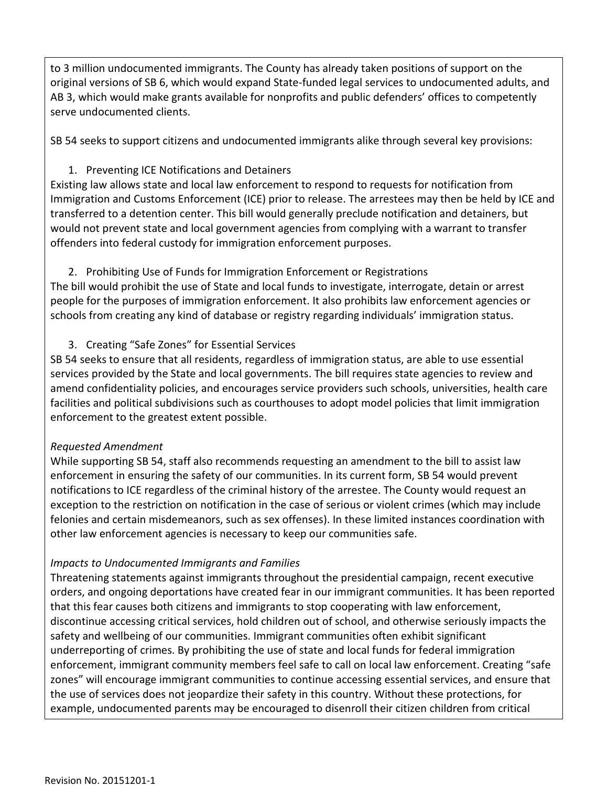to 3 million undocumented immigrants. The County has already taken positions of support on the original versions of SB 6, which would expand State-funded legal services to undocumented adults, and AB 3, which would make grants available for nonprofits and public defenders' offices to competently serve undocumented clients.

SB 54 seeks to support citizens and undocumented immigrants alike through several key provisions:

# 1. Preventing ICE Notifications and Detainers

Existing law allows state and local law enforcement to respond to requests for notification from Immigration and Customs Enforcement (ICE) prior to release. The arrestees may then be held by ICE and transferred to a detention center. This bill would generally preclude notification and detainers, but would not prevent state and local government agencies from complying with a warrant to transfer offenders into federal custody for immigration enforcement purposes.

2. Prohibiting Use of Funds for Immigration Enforcement or Registrations The bill would prohibit the use of State and local funds to investigate, interrogate, detain or arrest people for the purposes of immigration enforcement. It also prohibits law enforcement agencies or schools from creating any kind of database or registry regarding individuals' immigration status.

3. Creating "Safe Zones" for Essential Services

SB 54 seeks to ensure that all residents, regardless of immigration status, are able to use essential services provided by the State and local governments. The bill requires state agencies to review and amend confidentiality policies, and encourages service providers such schools, universities, health care facilities and political subdivisions such as courthouses to adopt model policies that limit immigration enforcement to the greatest extent possible.

# *Requested Amendment*

While supporting SB 54, staff also recommends requesting an amendment to the bill to assist law enforcement in ensuring the safety of our communities. In its current form, SB 54 would prevent notifications to ICE regardless of the criminal history of the arrestee. The County would request an exception to the restriction on notification in the case of serious or violent crimes (which may include felonies and certain misdemeanors, such as sex offenses). In these limited instances coordination with other law enforcement agencies is necessary to keep our communities safe.

# *Impacts to Undocumented Immigrants and Families*

Threatening statements against immigrants throughout the presidential campaign, recent executive orders, and ongoing deportations have created fear in our immigrant communities. It has been reported that this fear causes both citizens and immigrants to stop cooperating with law enforcement, discontinue accessing critical services, hold children out of school, and otherwise seriously impacts the safety and wellbeing of our communities. Immigrant communities often exhibit significant underreporting of crimes. By prohibiting the use of state and local funds for federal immigration enforcement, immigrant community members feel safe to call on local law enforcement. Creating "safe zones" will encourage immigrant communities to continue accessing essential services, and ensure that the use of services does not jeopardize their safety in this country. Without these protections, for example, undocumented parents may be encouraged to disenroll their citizen children from critical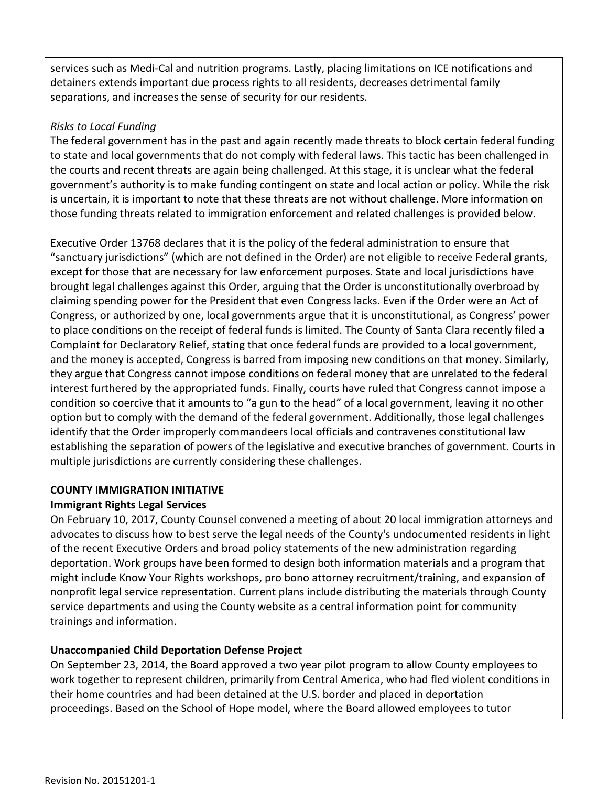services such as Medi-Cal and nutrition programs. Lastly, placing limitations on ICE notifications and detainers extends important due process rights to all residents, decreases detrimental family separations, and increases the sense of security for our residents.

#### *Risks to Local Funding*

The federal government has in the past and again recently made threats to block certain federal funding to state and local governments that do not comply with federal laws. This tactic has been challenged in the courts and recent threats are again being challenged. At this stage, it is unclear what the federal government's authority is to make funding contingent on state and local action or policy. While the risk is uncertain, it is important to note that these threats are not without challenge. More information on those funding threats related to immigration enforcement and related challenges is provided below.

Executive Order 13768 declares that it is the policy of the federal administration to ensure that "sanctuary jurisdictions" (which are not defined in the Order) are not eligible to receive Federal grants, except for those that are necessary for law enforcement purposes. State and local jurisdictions have brought legal challenges against this Order, arguing that the Order is unconstitutionally overbroad by claiming spending power for the President that even Congress lacks. Even if the Order were an Act of Congress, or authorized by one, local governments argue that it is unconstitutional, as Congress' power to place conditions on the receipt of federal funds is limited. The County of Santa Clara recently filed a Complaint for Declaratory Relief, stating that once federal funds are provided to a local government, and the money is accepted, Congress is barred from imposing new conditions on that money. Similarly, they argue that Congress cannot impose conditions on federal money that are unrelated to the federal interest furthered by the appropriated funds. Finally, courts have ruled that Congress cannot impose a condition so coercive that it amounts to "a gun to the head" of a local government, leaving it no other option but to comply with the demand of the federal government. Additionally, those legal challenges identify that the Order improperly commandeers local officials and contravenes constitutional law establishing the separation of powers of the legislative and executive branches of government. Courts in multiple jurisdictions are currently considering these challenges.

# **COUNTY IMMIGRATION INITIATIVE Immigrant Rights Legal Services**

On February 10, 2017, County Counsel convened a meeting of about 20 local immigration attorneys and advocates to discuss how to best serve the legal needs of the County's undocumented residents in light of the recent Executive Orders and broad policy statements of the new administration regarding deportation. Work groups have been formed to design both information materials and a program that might include Know Your Rights workshops, pro bono attorney recruitment/training, and expansion of nonprofit legal service representation. Current plans include distributing the materials through County service departments and using the County website as a central information point for community trainings and information.

# **Unaccompanied Child Deportation Defense Project**

On September 23, 2014, the Board approved a two year pilot program to allow County employees to work together to represent children, primarily from Central America, who had fled violent conditions in their home countries and had been detained at the U.S. border and placed in deportation proceedings. Based on the School of Hope model, where the Board allowed employees to tutor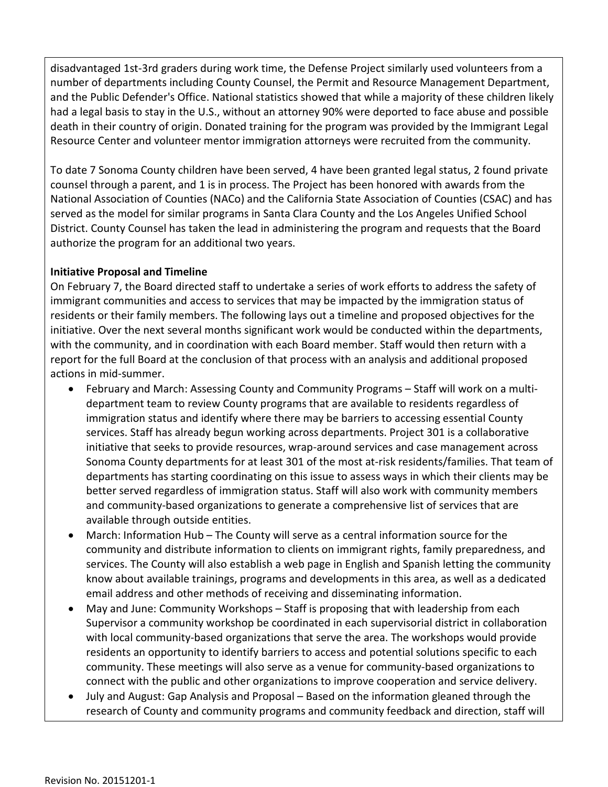disadvantaged 1st-3rd graders during work time, the Defense Project similarly used volunteers from a number of departments including County Counsel, the Permit and Resource Management Department, and the Public Defender's Office. National statistics showed that while a majority of these children likely had a legal basis to stay in the U.S., without an attorney 90% were deported to face abuse and possible death in their country of origin. Donated training for the program was provided by the Immigrant Legal Resource Center and volunteer mentor immigration attorneys were recruited from the community.

To date 7 Sonoma County children have been served, 4 have been granted legal status, 2 found private counsel through a parent, and 1 is in process. The Project has been honored with awards from the National Association of Counties (NACo) and the California State Association of Counties (CSAC) and has served as the model for similar programs in Santa Clara County and the Los Angeles Unified School District. County Counsel has taken the lead in administering the program and requests that the Board authorize the program for an additional two years.

#### **Initiative Proposal and Timeline**

On February 7, the Board directed staff to undertake a series of work efforts to address the safety of immigrant communities and access to services that may be impacted by the immigration status of residents or their family members. The following lays out a timeline and proposed objectives for the initiative. Over the next several months significant work would be conducted within the departments, with the community, and in coordination with each Board member. Staff would then return with a report for the full Board at the conclusion of that process with an analysis and additional proposed actions in mid-summer.

- February and March: Assessing County and Community Programs Staff will work on a multidepartment team to review County programs that are available to residents regardless of immigration status and identify where there may be barriers to accessing essential County services. Staff has already begun working across departments. Project 301 is a collaborative initiative that seeks to provide resources, wrap-around services and case management across Sonoma County departments for at least 301 of the most at-risk residents/families. That team of departments has starting coordinating on this issue to assess ways in which their clients may be better served regardless of immigration status. Staff will also work with community members and community-based organizations to generate a comprehensive list of services that are available through outside entities.
- March: Information Hub The County will serve as a central information source for the community and distribute information to clients on immigrant rights, family preparedness, and services. The County will also establish a web page in English and Spanish letting the community know about available trainings, programs and developments in this area, as well as a dedicated email address and other methods of receiving and disseminating information.
- May and June: Community Workshops Staff is proposing that with leadership from each Supervisor a community workshop be coordinated in each supervisorial district in collaboration with local community-based organizations that serve the area. The workshops would provide residents an opportunity to identify barriers to access and potential solutions specific to each community. These meetings will also serve as a venue for community-based organizations to connect with the public and other organizations to improve cooperation and service delivery.
- July and August: Gap Analysis and Proposal Based on the information gleaned through the research of County and community programs and community feedback and direction, staff will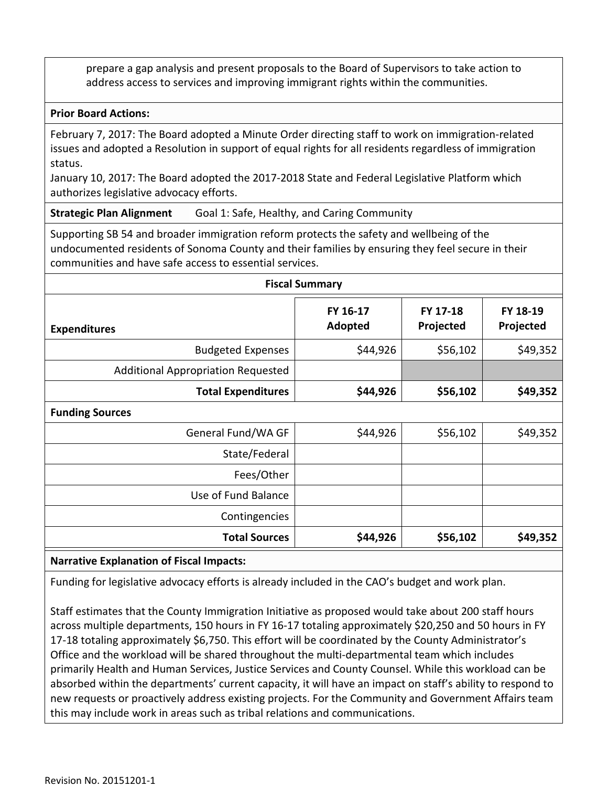prepare a gap analysis and present proposals to the Board of Supervisors to take action to address access to services and improving immigrant rights within the communities.

#### **Prior Board Actions:**

February 7, 2017: The Board adopted a Minute Order directing staff to work on immigration-related issues and adopted a Resolution in support of equal rights for all residents regardless of immigration status.

January 10, 2017: The Board adopted the 2017-2018 State and Federal Legislative Platform which authorizes legislative advocacy efforts.

**Strategic Plan Alignment** Goal 1: Safe, Healthy, and Caring Community

Supporting SB 54 and broader immigration reform protects the safety and wellbeing of the undocumented residents of Sonoma County and their families by ensuring they feel secure in their communities and have safe access to essential services.

| <b>Fiscal Summary</b>              |                     |                       |                       |  |
|------------------------------------|---------------------|-----------------------|-----------------------|--|
| <b>Expenditures</b>                | FY 16-17<br>Adopted | FY 17-18<br>Projected | FY 18-19<br>Projected |  |
| <b>Budgeted Expenses</b>           | \$44,926            | \$56,102              | \$49,352              |  |
| Additional Appropriation Requested |                     |                       |                       |  |
| <b>Total Expenditures</b>          | \$44,926            | \$56,102              | \$49,352              |  |
| <b>Funding Sources</b>             |                     |                       |                       |  |
| General Fund/WA GF                 | \$44,926            | \$56,102              | \$49,352              |  |
| State/Federal                      |                     |                       |                       |  |
| Fees/Other                         |                     |                       |                       |  |
| Use of Fund Balance                |                     |                       |                       |  |
| Contingencies                      |                     |                       |                       |  |
| <b>Total Sources</b>               | \$44,926            | \$56,102              | \$49,352              |  |
|                                    |                     |                       |                       |  |

#### **Narrative Explanation of Fiscal Impacts:**

Funding for legislative advocacy efforts is already included in the CAO's budget and work plan.

Staff estimates that the County Immigration Initiative as proposed would take about 200 staff hours across multiple departments, 150 hours in FY 16-17 totaling approximately \$20,250 and 50 hours in FY 17-18 totaling approximately \$6,750. This effort will be coordinated by the County Administrator's Office and the workload will be shared throughout the multi-departmental team which includes primarily Health and Human Services, Justice Services and County Counsel. While this workload can be absorbed within the departments' current capacity, it will have an impact on staff's ability to respond to new requests or proactively address existing projects. For the Community and Government Affairs team this may include work in areas such as tribal relations and communications.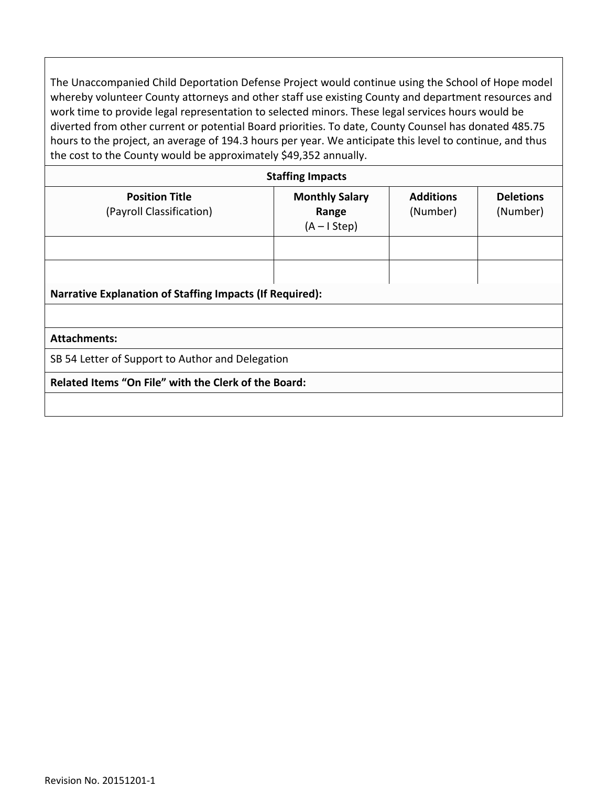The Unaccompanied Child Deportation Defense Project would continue using the School of Hope model whereby volunteer County attorneys and other staff use existing County and department resources and work time to provide legal representation to selected minors. These legal services hours would be diverted from other current or potential Board priorities. To date, County Counsel has donated 485.75 hours to the project, an average of 194.3 hours per year. We anticipate this level to continue, and thus the cost to the County would be approximately \$49,352 annually.

| <b>Staffing Impacts</b>                                         |                                                 |                              |                              |  |  |
|-----------------------------------------------------------------|-------------------------------------------------|------------------------------|------------------------------|--|--|
| <b>Position Title</b><br>(Payroll Classification)               | <b>Monthly Salary</b><br>Range<br>$(A - IStep)$ | <b>Additions</b><br>(Number) | <b>Deletions</b><br>(Number) |  |  |
|                                                                 |                                                 |                              |                              |  |  |
|                                                                 |                                                 |                              |                              |  |  |
| <b>Narrative Explanation of Staffing Impacts (If Required):</b> |                                                 |                              |                              |  |  |
|                                                                 |                                                 |                              |                              |  |  |
| <b>Attachments:</b>                                             |                                                 |                              |                              |  |  |
| SB 54 Letter of Support to Author and Delegation                |                                                 |                              |                              |  |  |
| Related Items "On File" with the Clerk of the Board:            |                                                 |                              |                              |  |  |
|                                                                 |                                                 |                              |                              |  |  |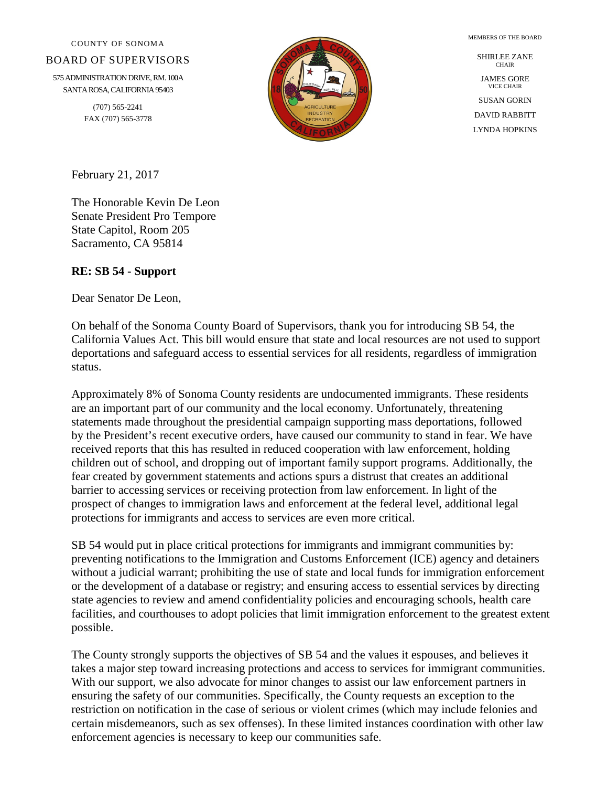COUNTY OF SONOMA

#### BOARD OF SUPERVISORS

575 ADMINISTRATION DRIVE, RM. 100A SANTA ROSA, CALIFORNIA 95403

> (707) 565-2241 FAX (707) 565-3778



SHIRLEE ZANE **CHAIR** JAMES GORE VICE CHAIR SUSAN GORIN DAVID RABBITT LYNDA HOPKINS

MEMBERS OF THE BOARD

February 21, 2017

The Honorable Kevin De Leon Senate President Pro Tempore State Capitol, Room 205 Sacramento, CA 95814

#### **RE: SB 54 - Support**

Dear Senator De Leon,

On behalf of the Sonoma County Board of Supervisors, thank you for introducing SB 54, the California Values Act. This bill would ensure that state and local resources are not used to support deportations and safeguard access to essential services for all residents, regardless of immigration status.

Approximately 8% of Sonoma County residents are undocumented immigrants. These residents are an important part of our community and the local economy. Unfortunately, threatening statements made throughout the presidential campaign supporting mass deportations, followed by the President's recent executive orders, have caused our community to stand in fear. We have received reports that this has resulted in reduced cooperation with law enforcement, holding children out of school, and dropping out of important family support programs. Additionally, the fear created by government statements and actions spurs a distrust that creates an additional barrier to accessing services or receiving protection from law enforcement. In light of the prospect of changes to immigration laws and enforcement at the federal level, additional legal protections for immigrants and access to services are even more critical.

SB 54 would put in place critical protections for immigrants and immigrant communities by: preventing notifications to the Immigration and Customs Enforcement (ICE) agency and detainers without a judicial warrant; prohibiting the use of state and local funds for immigration enforcement or the development of a database or registry; and ensuring access to essential services by directing state agencies to review and amend confidentiality policies and encouraging schools, health care facilities, and courthouses to adopt policies that limit immigration enforcement to the greatest extent possible.

The County strongly supports the objectives of SB 54 and the values it espouses, and believes it takes a major step toward increasing protections and access to services for immigrant communities. With our support, we also advocate for minor changes to assist our law enforcement partners in ensuring the safety of our communities. Specifically, the County requests an exception to the restriction on notification in the case of serious or violent crimes (which may include felonies and certain misdemeanors, such as sex offenses). In these limited instances coordination with other law enforcement agencies is necessary to keep our communities safe.